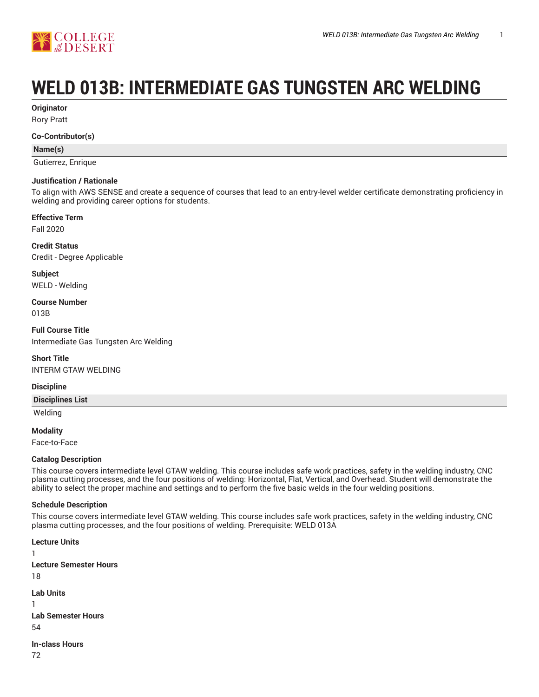

# **WELD 013B: INTERMEDIATE GAS TUNGSTEN ARC WELDING**

**Originator**

Rory Pratt

#### **Co-Contributor(s)**

#### **Name(s)**

Gutierrez, Enrique

#### **Justification / Rationale**

To align with AWS SENSE and create a sequence of courses that lead to an entry-level welder certificate demonstrating proficiency in welding and providing career options for students.

# **Effective Term**

Fall 2020

**Credit Status** Credit - Degree Applicable

**Subject** WELD - Welding

**Course Number** 013B

**Full Course Title** Intermediate Gas Tungsten Arc Welding

**Short Title** INTERM GTAW WELDING

#### **Discipline**

**Disciplines List**

Welding

**Modality**

Face-to-Face

#### **Catalog Description**

This course covers intermediate level GTAW welding. This course includes safe work practices, safety in the welding industry, CNC plasma cutting processes, and the four positions of welding: Horizontal, Flat, Vertical, and Overhead. Student will demonstrate the ability to select the proper machine and settings and to perform the five basic welds in the four welding positions.

#### **Schedule Description**

This course covers intermediate level GTAW welding. This course includes safe work practices, safety in the welding industry, CNC plasma cutting processes, and the four positions of welding. Prerequisite: WELD 013A

**Lecture Units** 1 **Lecture Semester Hours** 18 **Lab Units** 1 **Lab Semester Hours** 54 **In-class Hours** 72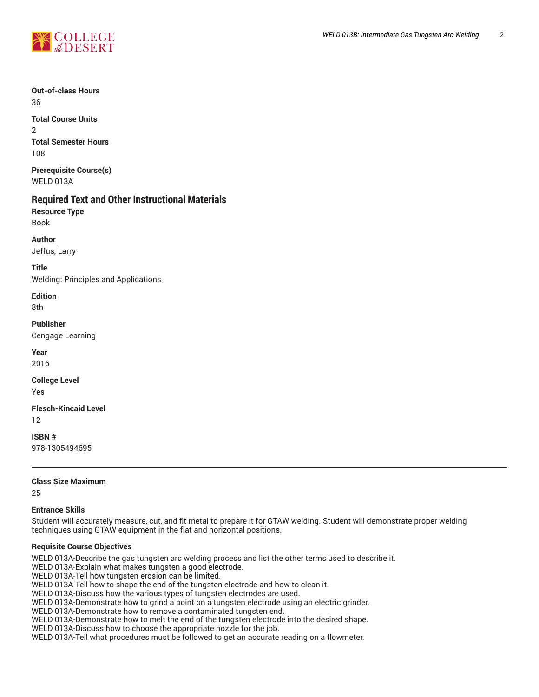

**Out-of-class Hours** 36 **Total Course Units**

2 **Total Semester Hours** 108

**Prerequisite Course(s)** WELD 013A

# **Required Text and Other Instructional Materials**

**Resource Type** Book

**Author**

Jeffus, Larry

**Title** Welding: Principles and Applications

**Edition** 8th

**Publisher** Cengage Learning

**Year** 2016

**College Level** Yes

**Flesch-Kincaid Level** 12

**ISBN #** 978-1305494695

**Class Size Maximum**

25

## **Entrance Skills**

Student will accurately measure, cut, and fit metal to prepare it for GTAW welding. Student will demonstrate proper welding techniques using GTAW equipment in the flat and horizontal positions.

## **Requisite Course Objectives**

WELD 013A-Describe the gas tungsten arc welding process and list the other terms used to describe it.

WELD 013A-Explain what makes tungsten a good electrode.

WELD 013A-Tell how tungsten erosion can be limited.

WELD 013A-Tell how to shape the end of the tungsten electrode and how to clean it.

WELD 013A-Discuss how the various types of tungsten electrodes are used.

WELD 013A-Demonstrate how to grind a point on a tungsten electrode using an electric grinder.

WELD 013A-Demonstrate how to remove a contaminated tungsten end.

WELD 013A-Demonstrate how to melt the end of the tungsten electrode into the desired shape.

WELD 013A-Discuss how to choose the appropriate nozzle for the job.

WELD 013A-Tell what procedures must be followed to get an accurate reading on a flowmeter.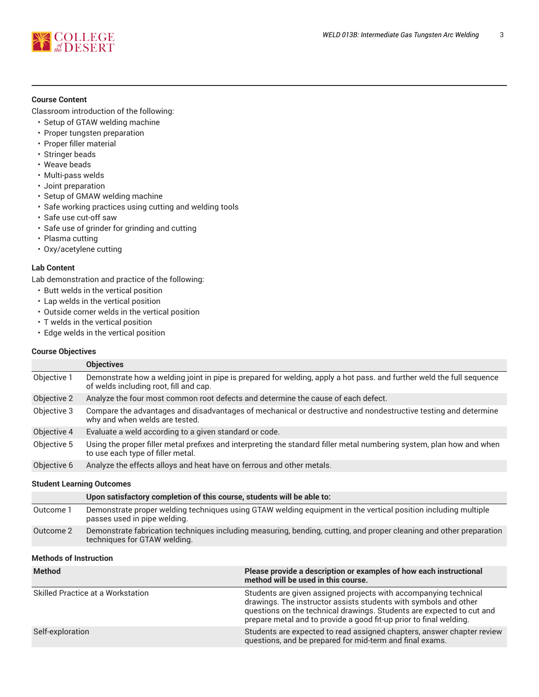

#### **Course Content**

Classroom introduction of the following:

- Setup of GTAW welding machine
- Proper tungsten preparation
- Proper filler material
- Stringer beads
- Weave beads
- Multi-pass welds
- Joint preparation
- Setup of GMAW welding machine
- Safe working practices using cutting and welding tools
- Safe use cut-off saw
- Safe use of grinder for grinding and cutting
- Plasma cutting
- Oxy/acetylene cutting

#### **Lab Content**

Lab demonstration and practice of the following:

- Butt welds in the vertical position
- Lap welds in the vertical position
- Outside corner welds in the vertical position
- T welds in the vertical position
- Edge welds in the vertical position

#### **Course Objectives**

| <b>Objectives</b>                                                                                                                                               |
|-----------------------------------------------------------------------------------------------------------------------------------------------------------------|
| Demonstrate how a welding joint in pipe is prepared for welding, apply a hot pass. and further weld the full sequence<br>of welds including root, fill and cap. |
| Analyze the four most common root defects and determine the cause of each defect.                                                                               |
| Compare the advantages and disadvantages of mechanical or destructive and nondestructive testing and determine<br>why and when welds are tested.                |
| Evaluate a weld according to a given standard or code.                                                                                                          |
| Using the proper filler metal prefixes and interpreting the standard filler metal numbering system, plan how and when<br>to use each type of filler metal.      |
| Analyze the effects alloys and heat have on ferrous and other metals.                                                                                           |
|                                                                                                                                                                 |

#### **Student Learning Outcomes**

|           | Upon satisfactory completion of this course, students will be able to:                                                                              |
|-----------|-----------------------------------------------------------------------------------------------------------------------------------------------------|
| Outcome 1 | Demonstrate proper welding techniques using GTAW welding equipment in the vertical position including multiple<br>passes used in pipe welding.      |
| Outcome 2 | Demonstrate fabrication techniques including measuring, bending, cutting, and proper cleaning and other preparation<br>techniques for GTAW welding. |

#### **Methods of Instruction**

| <b>Method</b>                            | Please provide a description or examples of how each instructional<br>method will be used in this course.                                                                                                                                                                           |
|------------------------------------------|-------------------------------------------------------------------------------------------------------------------------------------------------------------------------------------------------------------------------------------------------------------------------------------|
| <b>Skilled Practice at a Workstation</b> | Students are given assigned projects with accompanying technical<br>drawings. The instructor assists students with symbols and other<br>questions on the technical drawings. Students are expected to cut and<br>prepare metal and to provide a good fit-up prior to final welding. |
| Self-exploration                         | Students are expected to read assigned chapters, answer chapter review<br>questions, and be prepared for mid-term and final exams.                                                                                                                                                  |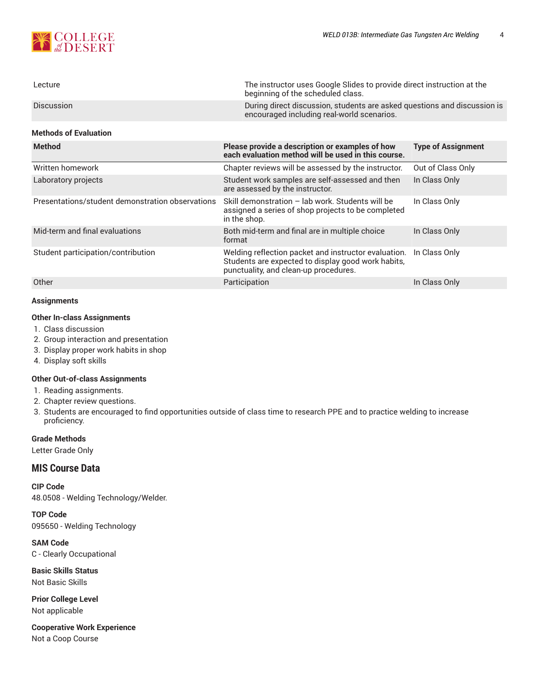

| Lecture           | The instructor uses Google Slides to provide direct instruction at the<br>beginning of the scheduled class.            |
|-------------------|------------------------------------------------------------------------------------------------------------------------|
| <b>Discussion</b> | During direct discussion, students are asked questions and discussion is<br>encouraged including real-world scenarios. |

#### **Methods of Evaluation**

| <b>Method</b>                                    | Please provide a description or examples of how<br>each evaluation method will be used in this course.                                              | <b>Type of Assignment</b> |
|--------------------------------------------------|-----------------------------------------------------------------------------------------------------------------------------------------------------|---------------------------|
| Written homework                                 | Chapter reviews will be assessed by the instructor.                                                                                                 | Out of Class Only         |
| Laboratory projects                              | Student work samples are self-assessed and then<br>are assessed by the instructor.                                                                  | In Class Only             |
| Presentations/student demonstration observations | Skill demonstration - lab work. Students will be<br>assigned a series of shop projects to be completed<br>in the shop.                              | In Class Only             |
| Mid-term and final evaluations                   | Both mid-term and final are in multiple choice<br>format                                                                                            | In Class Only             |
| Student participation/contribution               | Welding reflection packet and instructor evaluation.<br>Students are expected to display good work habits,<br>punctuality, and clean-up procedures. | In Class Only             |
| Other                                            | Participation                                                                                                                                       | In Class Only             |

#### **Assignments**

#### **Other In-class Assignments**

- 1. Class discussion
- 2. Group interaction and presentation
- 3. Display proper work habits in shop
- 4. Display soft skills

#### **Other Out-of-class Assignments**

- 1. Reading assignments.
- 2. Chapter review questions.
- 3. Students are encouraged to find opportunities outside of class time to research PPE and to practice welding to increase proficiency.

#### **Grade Methods**

Letter Grade Only

# **MIS Course Data**

#### **CIP Code**

48.0508 - Welding Technology/Welder.

**TOP Code** 095650 - Welding Technology

**SAM Code** C - Clearly Occupational

**Basic Skills Status** Not Basic Skills

**Prior College Level** Not applicable

**Cooperative Work Experience** Not a Coop Course